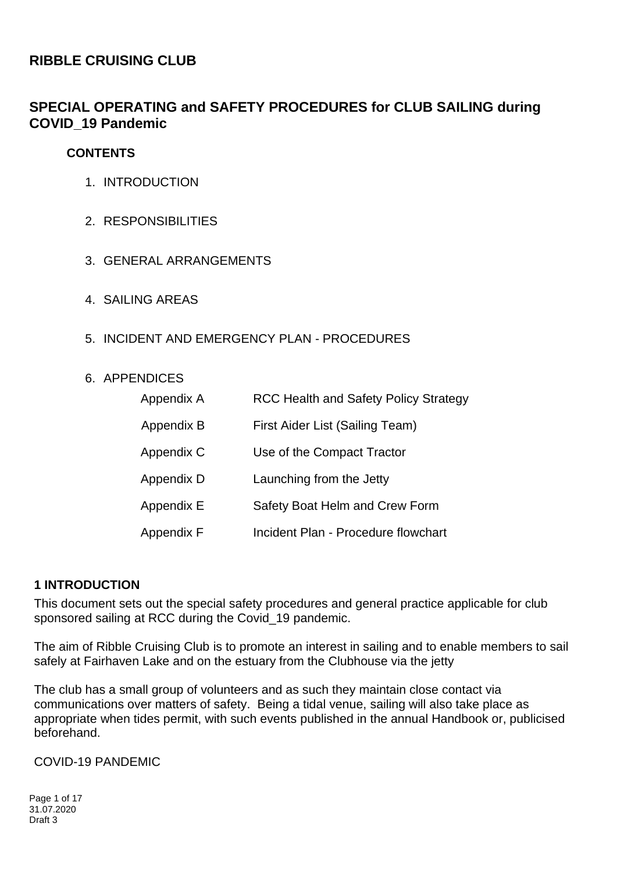# **RIBBLE CRUISING CLUB**

# **SPECIAL OPERATING and SAFETY PROCEDURES for CLUB SAILING during COVID\_19 Pandemic**

### **CONTENTS**

- 1. INTRODUCTION
- 2. RESPONSIBILITIES
- 3. GENERAL ARRANGEMENTS
- 4. SAILING AREAS
- 5. INCIDENT AND EMERGENCY PLAN PROCEDURES

### 6. APPENDICES

| Appendix A | <b>RCC Health and Safety Policy Strategy</b> |
|------------|----------------------------------------------|
| Appendix B | First Aider List (Sailing Team)              |
| Appendix C | Use of the Compact Tractor                   |
| Appendix D | Launching from the Jetty                     |
| Appendix E | Safety Boat Helm and Crew Form               |
| Appendix F | Incident Plan - Procedure flowchart          |

## **1 INTRODUCTION**

This document sets out the special safety procedures and general practice applicable for club sponsored sailing at RCC during the Covid 19 pandemic.

The aim of Ribble Cruising Club is to promote an interest in sailing and to enable members to sail safely at Fairhaven Lake and on the estuary from the Clubhouse via the jetty

The club has a small group of volunteers and as such they maintain close contact via communications over matters of safety. Being a tidal venue, sailing will also take place as appropriate when tides permit, with such events published in the annual Handbook or, publicised beforehand.

COVID-19 PANDEMIC

Page 1 of 17 31.07.2020 Draft 3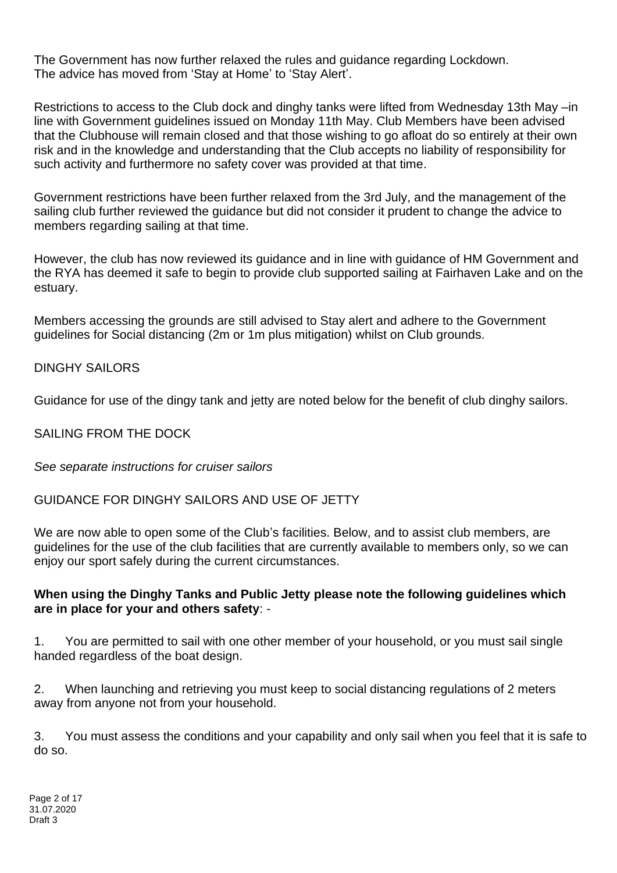The Government has now further relaxed the rules and guidance regarding Lockdown. The advice has moved from 'Stay at Home' to 'Stay Alert'.

Restrictions to access to the Club dock and dinghy tanks were lifted from Wednesday 13th May –in line with Government guidelines issued on Monday 11th May. Club Members have been advised that the Clubhouse will remain closed and that those wishing to go afloat do so entirely at their own risk and in the knowledge and understanding that the Club accepts no liability of responsibility for such activity and furthermore no safety cover was provided at that time.

Government restrictions have been further relaxed from the 3rd July, and the management of the sailing club further reviewed the guidance but did not consider it prudent to change the advice to members regarding sailing at that time.

However, the club has now reviewed its guidance and in line with guidance of HM Government and the RYA has deemed it safe to begin to provide club supported sailing at Fairhaven Lake and on the estuary.

Members accessing the grounds are still advised to Stay alert and adhere to the Government guidelines for Social distancing (2m or 1m plus mitigation) whilst on Club grounds.

### DINGHY SAILORS

Guidance for use of the dingy tank and jetty are noted below for the benefit of club dinghy sailors.

## SAILING FROM THE DOCK

*See separate instructions for cruiser sailors*

### GUIDANCE FOR DINGHY SAILORS AND USE OF JETTY

We are now able to open some of the Club's facilities. Below, and to assist club members, are guidelines for the use of the club facilities that are currently available to members only, so we can enjoy our sport safely during the current circumstances.

### **When using the Dinghy Tanks and Public Jetty please note the following guidelines which are in place for your and others safety**: -

1. You are permitted to sail with one other member of your household, or you must sail single handed regardless of the boat design.

2. When launching and retrieving you must keep to social distancing regulations of 2 meters away from anyone not from your household.

3. You must assess the conditions and your capability and only sail when you feel that it is safe to do so.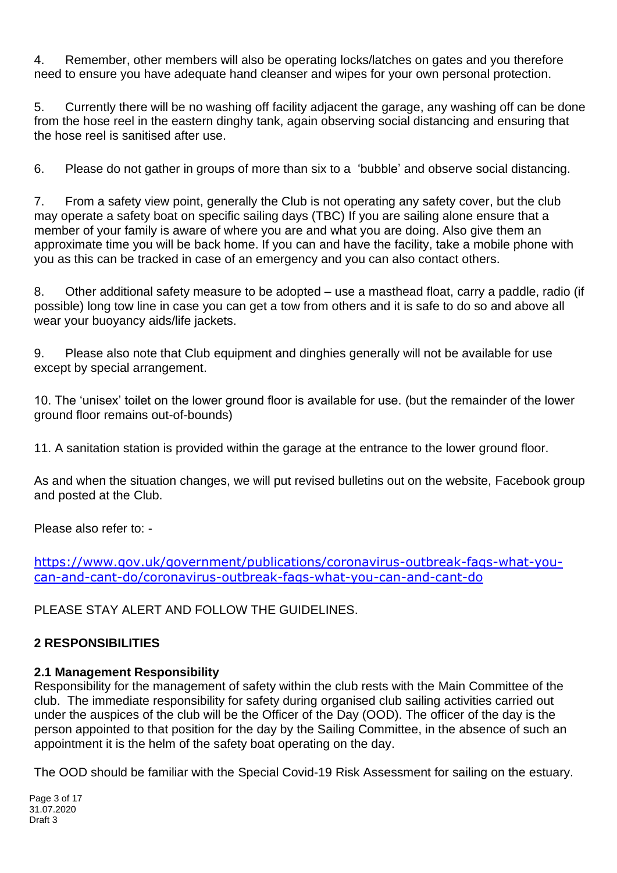4. Remember, other members will also be operating locks/latches on gates and you therefore need to ensure you have adequate hand cleanser and wipes for your own personal protection.

5. Currently there will be no washing off facility adjacent the garage, any washing off can be done from the hose reel in the eastern dinghy tank, again observing social distancing and ensuring that the hose reel is sanitised after use.

6. Please do not gather in groups of more than six to a 'bubble' and observe social distancing.

7. From a safety view point, generally the Club is not operating any safety cover, but the club may operate a safety boat on specific sailing days (TBC) If you are sailing alone ensure that a member of your family is aware of where you are and what you are doing. Also give them an approximate time you will be back home. If you can and have the facility, take a mobile phone with you as this can be tracked in case of an emergency and you can also contact others.

8. Other additional safety measure to be adopted – use a masthead float, carry a paddle, radio (if possible) long tow line in case you can get a tow from others and it is safe to do so and above all wear your buoyancy aids/life jackets.

9. Please also note that Club equipment and dinghies generally will not be available for use except by special arrangement.

10. The 'unisex' toilet on the lower ground floor is available for use. (but the remainder of the lower ground floor remains out-of-bounds)

11. A sanitation station is provided within the garage at the entrance to the lower ground floor.

As and when the situation changes, we will put revised bulletins out on the website, Facebook group and posted at the Club.

Please also refer to: -

[https://www.gov.uk/government/publications/coronavirus-outbreak-faqs-what-you](https://www.gov.uk/government/publications/coronavirus-outbreak-faqs-what-you-can-and-cant-do/coronavirus-outbreak-faqs-what-you-can-and-cant-do)[can-and-cant-do/coronavirus-outbreak-faqs-what-you-can-and-cant-do](https://www.gov.uk/government/publications/coronavirus-outbreak-faqs-what-you-can-and-cant-do/coronavirus-outbreak-faqs-what-you-can-and-cant-do)

PLEASE STAY ALERT AND FOLLOW THE GUIDELINES.

## **2 RESPONSIBILITIES**

## **2.1 Management Responsibility**

Responsibility for the management of safety within the club rests with the Main Committee of the club. The immediate responsibility for safety during organised club sailing activities carried out under the auspices of the club will be the Officer of the Day (OOD). The officer of the day is the person appointed to that position for the day by the Sailing Committee, in the absence of such an appointment it is the helm of the safety boat operating on the day.

The OOD should be familiar with the Special Covid-19 Risk Assessment for sailing on the estuary.

Page 3 of 17 31.07.2020 Draft 3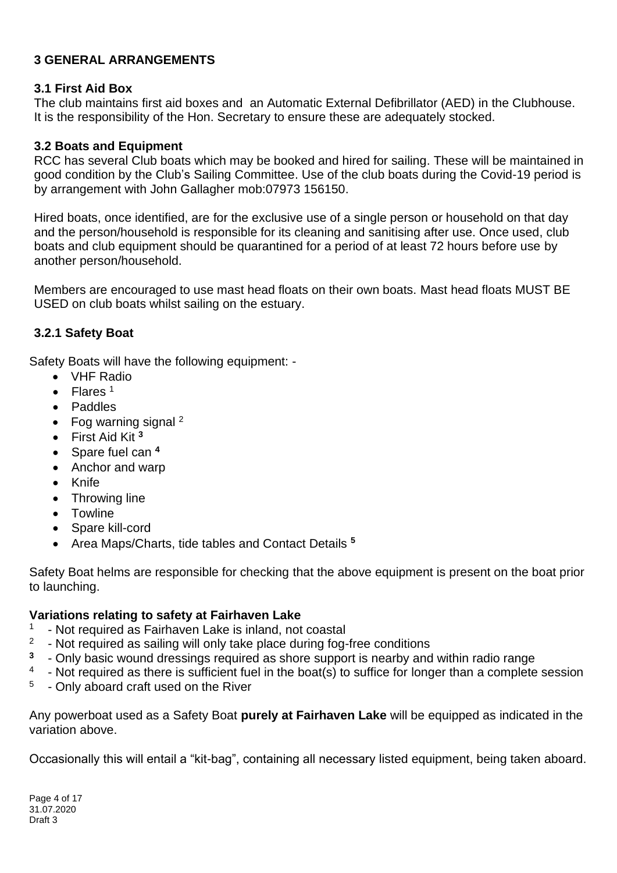## **3 GENERAL ARRANGEMENTS**

### **3.1 First Aid Box**

The club maintains first aid boxes and an Automatic External Defibrillator (AED) in the Clubhouse. It is the responsibility of the Hon. Secretary to ensure these are adequately stocked.

## **3.2 Boats and Equipment**

RCC has several Club boats which may be booked and hired for sailing. These will be maintained in good condition by the Club's Sailing Committee. Use of the club boats during the Covid-19 period is by arrangement with John Gallagher mob:07973 156150.

Hired boats, once identified, are for the exclusive use of a single person or household on that day and the person/household is responsible for its cleaning and sanitising after use. Once used, club boats and club equipment should be quarantined for a period of at least 72 hours before use by another person/household.

Members are encouraged to use mast head floats on their own boats. Mast head floats MUST BE USED on club boats whilst sailing on the estuary.

## **3.2.1 Safety Boat**

Safety Boats will have the following equipment: -

- VHF Radio
- $\bullet$  Flares<sup>1</sup>
- Paddles
- Fog warning signal  $2$
- First Aid Kit **<sup>3</sup>**
- Spare fuel can **<sup>4</sup>**
- Anchor and warp
- Knife
- Throwing line
- Towline
- Spare kill-cord
- Area Maps/Charts, tide tables and Contact Details **<sup>5</sup>**

Safety Boat helms are responsible for checking that the above equipment is present on the boat prior to launching.

### **Variations relating to safety at Fairhaven Lake**

- 1 - Not required as Fairhaven Lake is inland, not coastal
- 2 - Not required as sailing will only take place during fog-free conditions
- **3** - Only basic wound dressings required as shore support is nearby and within radio range
- 4 - Not required as there is sufficient fuel in the boat(s) to suffice for longer than a complete session
- 5 - Only aboard craft used on the River

Any powerboat used as a Safety Boat **purely at Fairhaven Lake** will be equipped as indicated in the variation above.

Occasionally this will entail a "kit-bag", containing all necessary listed equipment, being taken aboard.

Page 4 of 17 31.07.2020 Draft 3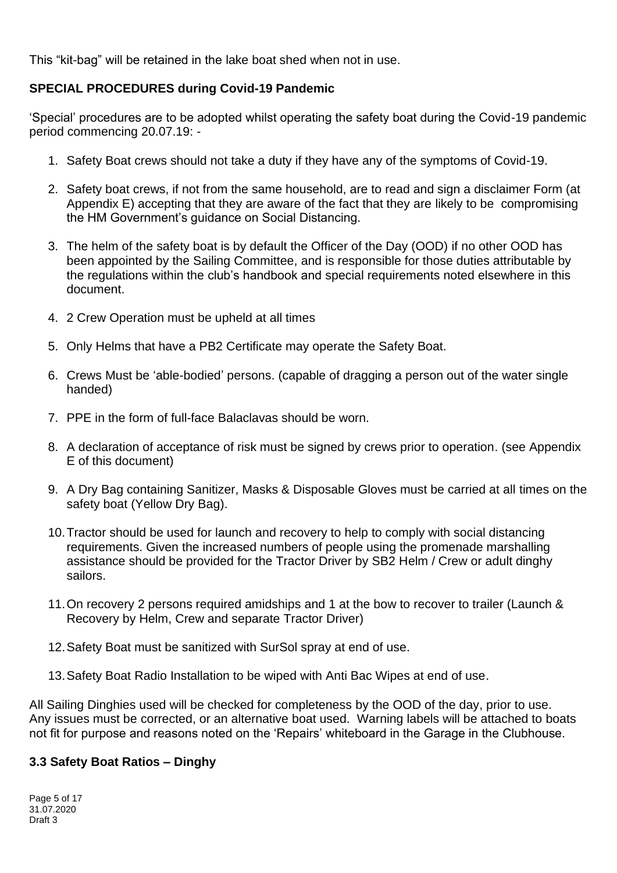This "kit-bag" will be retained in the lake boat shed when not in use.

# **SPECIAL PROCEDURES during Covid-19 Pandemic**

'Special' procedures are to be adopted whilst operating the safety boat during the Covid-19 pandemic period commencing 20.07.19: -

- 1. Safety Boat crews should not take a duty if they have any of the symptoms of Covid-19.
- 2. Safety boat crews, if not from the same household, are to read and sign a disclaimer Form (at Appendix E) accepting that they are aware of the fact that they are likely to be compromising the HM Government's guidance on Social Distancing.
- 3. The helm of the safety boat is by default the Officer of the Day (OOD) if no other OOD has been appointed by the Sailing Committee, and is responsible for those duties attributable by the regulations within the club's handbook and special requirements noted elsewhere in this document.
- 4. 2 Crew Operation must be upheld at all times
- 5. Only Helms that have a PB2 Certificate may operate the Safety Boat.
- 6. Crews Must be 'able-bodied' persons. (capable of dragging a person out of the water single handed)
- 7. PPE in the form of full-face Balaclavas should be worn.
- 8. A declaration of acceptance of risk must be signed by crews prior to operation. (see Appendix E of this document)
- 9. A Dry Bag containing Sanitizer, Masks & Disposable Gloves must be carried at all times on the safety boat (Yellow Dry Bag).
- 10.Tractor should be used for launch and recovery to help to comply with social distancing requirements. Given the increased numbers of people using the promenade marshalling assistance should be provided for the Tractor Driver by SB2 Helm / Crew or adult dinghy sailors.
- 11.On recovery 2 persons required amidships and 1 at the bow to recover to trailer (Launch & Recovery by Helm, Crew and separate Tractor Driver)
- 12.Safety Boat must be sanitized with SurSol spray at end of use.
- 13.Safety Boat Radio Installation to be wiped with Anti Bac Wipes at end of use.

All Sailing Dinghies used will be checked for completeness by the OOD of the day, prior to use. Any issues must be corrected, or an alternative boat used. Warning labels will be attached to boats not fit for purpose and reasons noted on the 'Repairs' whiteboard in the Garage in the Clubhouse.

## **3.3 Safety Boat Ratios – Dinghy**

Page 5 of 17 31.07.2020 Draft 3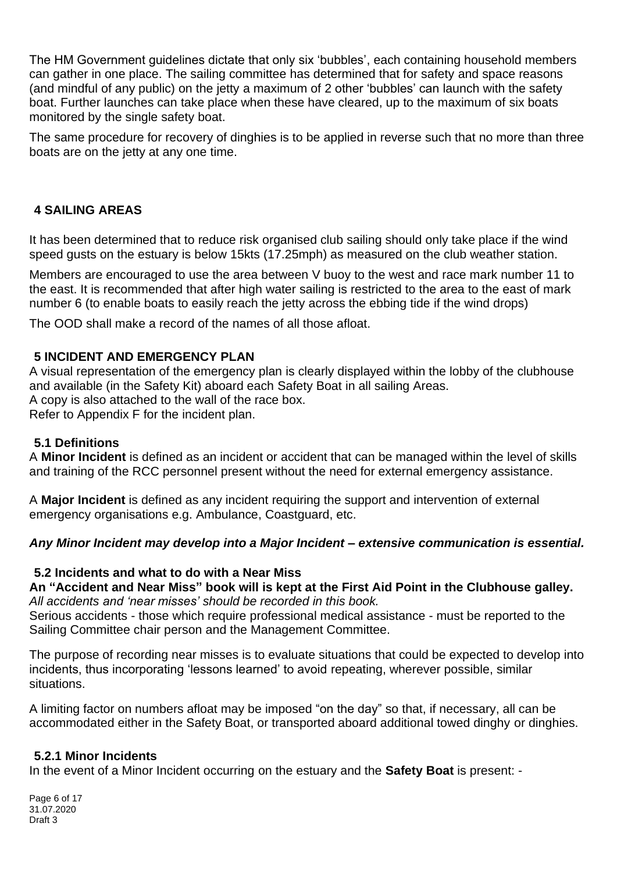The HM Government guidelines dictate that only six 'bubbles', each containing household members can gather in one place. The sailing committee has determined that for safety and space reasons (and mindful of any public) on the jetty a maximum of 2 other 'bubbles' can launch with the safety boat. Further launches can take place when these have cleared, up to the maximum of six boats monitored by the single safety boat.

The same procedure for recovery of dinghies is to be applied in reverse such that no more than three boats are on the jetty at any one time.

# **4 SAILING AREAS**

It has been determined that to reduce risk organised club sailing should only take place if the wind speed gusts on the estuary is below 15kts (17.25mph) as measured on the club weather station.

Members are encouraged to use the area between V buoy to the west and race mark number 11 to the east. It is recommended that after high water sailing is restricted to the area to the east of mark number 6 (to enable boats to easily reach the jetty across the ebbing tide if the wind drops)

The OOD shall make a record of the names of all those afloat.

### **5 INCIDENT AND EMERGENCY PLAN**

A visual representation of the emergency plan is clearly displayed within the lobby of the clubhouse and available (in the Safety Kit) aboard each Safety Boat in all sailing Areas. A copy is also attached to the wall of the race box. Refer to Appendix F for the incident plan.

### **5.1 Definitions**

A **Minor Incident** is defined as an incident or accident that can be managed within the level of skills and training of the RCC personnel present without the need for external emergency assistance.

A **Major Incident** is defined as any incident requiring the support and intervention of external emergency organisations e.g. Ambulance, Coastguard, etc.

## *Any Minor Incident may develop into a Major Incident – extensive communication is essential.*

### **5.2 Incidents and what to do with a Near Miss**

### **An "Accident and Near Miss" book will is kept at the First Aid Point in the Clubhouse galley.** *All accidents and 'near misses' should be recorded in this book.*

Serious accidents - those which require professional medical assistance - must be reported to the Sailing Committee chair person and the Management Committee.

The purpose of recording near misses is to evaluate situations that could be expected to develop into incidents, thus incorporating 'lessons learned' to avoid repeating, wherever possible, similar situations.

A limiting factor on numbers afloat may be imposed "on the day" so that, if necessary, all can be accommodated either in the Safety Boat, or transported aboard additional towed dinghy or dinghies.

### **5.2.1 Minor Incidents**

In the event of a Minor Incident occurring on the estuary and the **Safety Boat** is present: -

Page 6 of 17 31.07.2020 Draft 3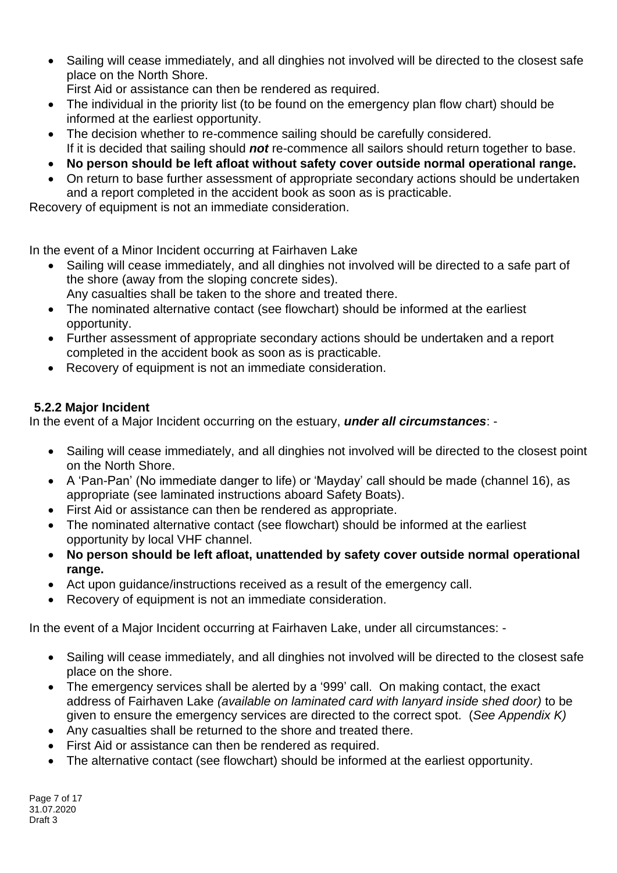- Sailing will cease immediately, and all dinghies not involved will be directed to the closest safe place on the North Shore.
	- First Aid or assistance can then be rendered as required.
- The individual in the priority list (to be found on the emergency plan flow chart) should be informed at the earliest opportunity.
- The decision whether to re-commence sailing should be carefully considered. If it is decided that sailing should *not* re-commence all sailors should return together to base.
- **No person should be left afloat without safety cover outside normal operational range.**
- On return to base further assessment of appropriate secondary actions should be undertaken and a report completed in the accident book as soon as is practicable.

Recovery of equipment is not an immediate consideration.

In the event of a Minor Incident occurring at Fairhaven Lake

- Sailing will cease immediately, and all dinghies not involved will be directed to a safe part of the shore (away from the sloping concrete sides).
	- Any casualties shall be taken to the shore and treated there.
- The nominated alternative contact (see flowchart) should be informed at the earliest opportunity.
- Further assessment of appropriate secondary actions should be undertaken and a report completed in the accident book as soon as is practicable.
- Recovery of equipment is not an immediate consideration.

# **5.2.2 Major Incident**

In the event of a Major Incident occurring on the estuary, *under all circumstances*: -

- Sailing will cease immediately, and all dinghies not involved will be directed to the closest point on the North Shore.
- A 'Pan-Pan' (No immediate danger to life) or 'Mayday' call should be made (channel 16), as appropriate (see laminated instructions aboard Safety Boats).
- First Aid or assistance can then be rendered as appropriate.
- The nominated alternative contact (see flowchart) should be informed at the earliest opportunity by local VHF channel.
- **No person should be left afloat, unattended by safety cover outside normal operational range.**
- Act upon guidance/instructions received as a result of the emergency call.
- Recovery of equipment is not an immediate consideration.

In the event of a Major Incident occurring at Fairhaven Lake, under all circumstances: -

- Sailing will cease immediately, and all dinghies not involved will be directed to the closest safe place on the shore.
- The emergency services shall be alerted by a '999' call. On making contact, the exact address of Fairhaven Lake *(available on laminated card with lanyard inside shed door)* to be given to ensure the emergency services are directed to the correct spot. (*See Appendix K)*
- Any casualties shall be returned to the shore and treated there.
- First Aid or assistance can then be rendered as required.
- The alternative contact (see flowchart) should be informed at the earliest opportunity.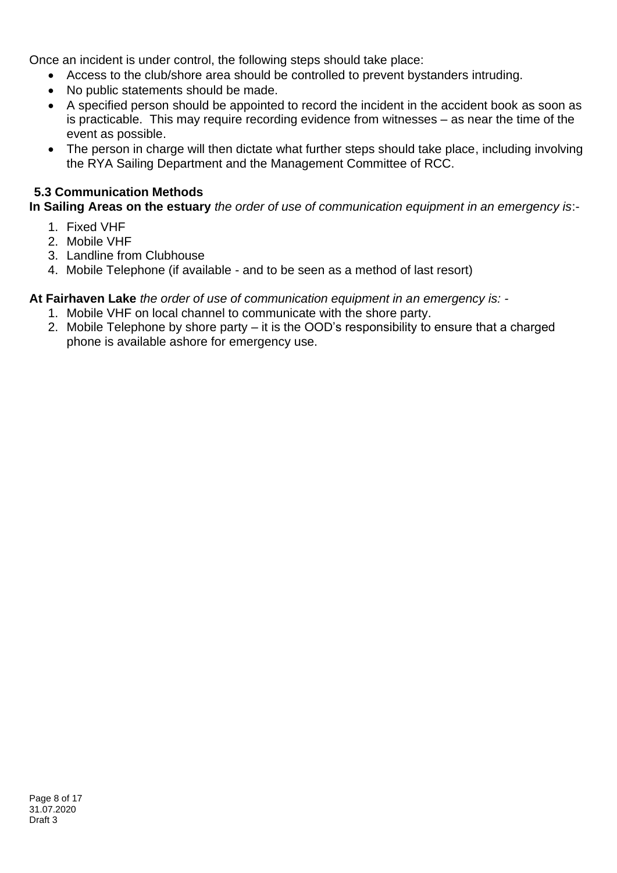Once an incident is under control, the following steps should take place:

- Access to the club/shore area should be controlled to prevent bystanders intruding.
- No public statements should be made.
- A specified person should be appointed to record the incident in the accident book as soon as is practicable. This may require recording evidence from witnesses – as near the time of the event as possible.
- The person in charge will then dictate what further steps should take place, including involving the RYA Sailing Department and the Management Committee of RCC.

## **5.3 Communication Methods**

**In Sailing Areas on the estuary** *the order of use of communication equipment in an emergency is*:-

- 1. Fixed VHF
- 2. Mobile VHF
- 3. Landline from Clubhouse
- 4. Mobile Telephone (if available and to be seen as a method of last resort)

**At Fairhaven Lake** *the order of use of communication equipment in an emergency is: -*

- 1. Mobile VHF on local channel to communicate with the shore party.
- 2. Mobile Telephone by shore party it is the OOD's responsibility to ensure that a charged phone is available ashore for emergency use.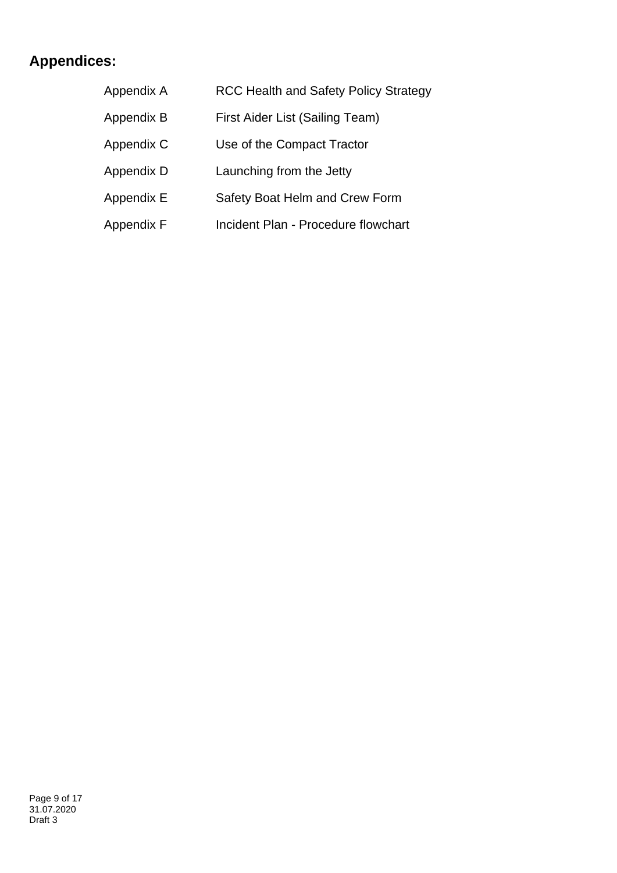# **Appendices:**

| Appendix A | <b>RCC Health and Safety Policy Strategy</b> |
|------------|----------------------------------------------|
| Appendix B | First Aider List (Sailing Team)              |
| Appendix C | Use of the Compact Tractor                   |
| Appendix D | Launching from the Jetty                     |
| Appendix E | Safety Boat Helm and Crew Form               |
| Appendix F | Incident Plan - Procedure flowchart          |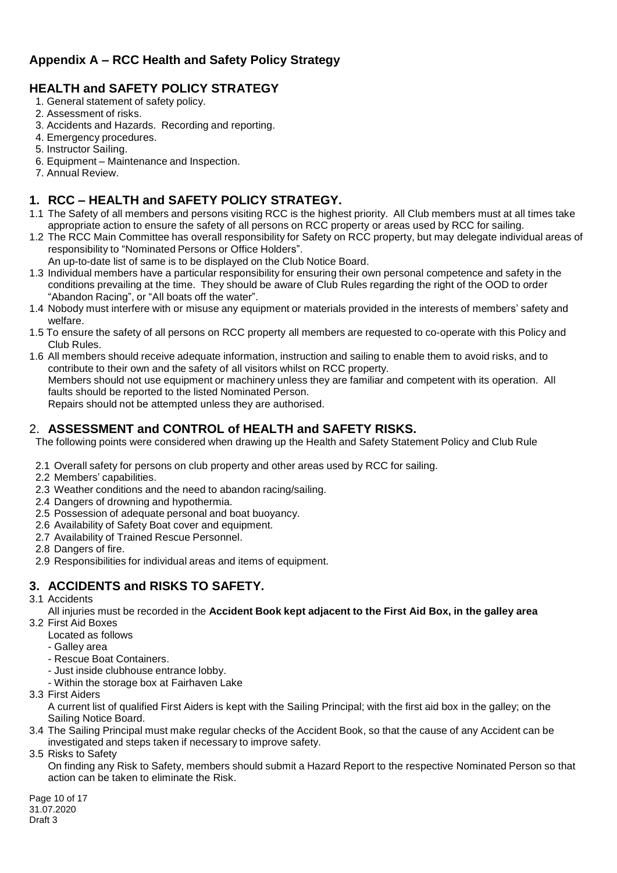# **Appendix A – RCC Health and Safety Policy Strategy**

## **HEALTH and SAFETY POLICY STRATEGY**

- 1. General statement of safety policy.
- 2. Assessment of risks.
- 3. Accidents and Hazards. Recording and reporting.
- 4. Emergency procedures.
- 5. Instructor Sailing.
- 6. Equipment Maintenance and Inspection.
- 7. Annual Review.

# **1. RCC – HEALTH and SAFETY POLICY STRATEGY.**

- 1.1 The Safety of all members and persons visiting RCC is the highest priority. All Club members must at all times take appropriate action to ensure the safety of all persons on RCC property or areas used by RCC for sailing.
- 1.2 The RCC Main Committee has overall responsibility for Safety on RCC property, but may delegate individual areas of responsibility to "Nominated Persons or Office Holders".
	- An up-to-date list of same is to be displayed on the Club Notice Board.
- 1.3 Individual members have a particular responsibility for ensuring their own personal competence and safety in the conditions prevailing at the time. They should be aware of Club Rules regarding the right of the OOD to order "Abandon Racing", or "All boats off the water".
- 1.4 Nobody must interfere with or misuse any equipment or materials provided in the interests of members' safety and welfare.
- 1.5 To ensure the safety of all persons on RCC property all members are requested to co-operate with this Policy and Club Rules.
- 1.6 All members should receive adequate information, instruction and sailing to enable them to avoid risks, and to contribute to their own and the safety of all visitors whilst on RCC property. Members should not use equipment or machinery unless they are familiar and competent with its operation. All faults should be reported to the listed Nominated Person.

Repairs should not be attempted unless they are authorised.

### 2. **ASSESSMENT and CONTROL of HEALTH and SAFETY RISKS.**

The following points were considered when drawing up the Health and Safety Statement Policy and Club Rule

- 2.1 Overall safety for persons on club property and other areas used by RCC for sailing.
- 2.2 Members' capabilities.
- 2.3 Weather conditions and the need to abandon racing/sailing.
- 2.4 Dangers of drowning and hypothermia.
- 2.5 Possession of adequate personal and boat buoyancy.
- 2.6 Availability of Safety Boat cover and equipment.
- 2.7 Availability of Trained Rescue Personnel.
- 2.8 Dangers of fire.
- 2.9 Responsibilities for individual areas and items of equipment.

# **3. ACCIDENTS and RISKS TO SAFETY.**

3.1 Accidents

All injuries must be recorded in the **Accident Book kept adjacent to the First Aid Box, in the galley area**

- 3.2 First Aid Boxes
	- Located as follows
	- Galley area
	- Rescue Boat Containers.
	- Just inside clubhouse entrance lobby.
	- Within the storage box at Fairhaven Lake
- 3.3 First Aiders

A current list of qualified First Aiders is kept with the Sailing Principal; with the first aid box in the galley; on the Sailing Notice Board.

- 3.4 The Sailing Principal must make regular checks of the Accident Book, so that the cause of any Accident can be investigated and steps taken if necessary to improve safety.
- 3.5 Risks to Safety

On finding any Risk to Safety, members should submit a Hazard Report to the respective Nominated Person so that action can be taken to eliminate the Risk.

Page 10 of 17 31.07.2020 Draft 3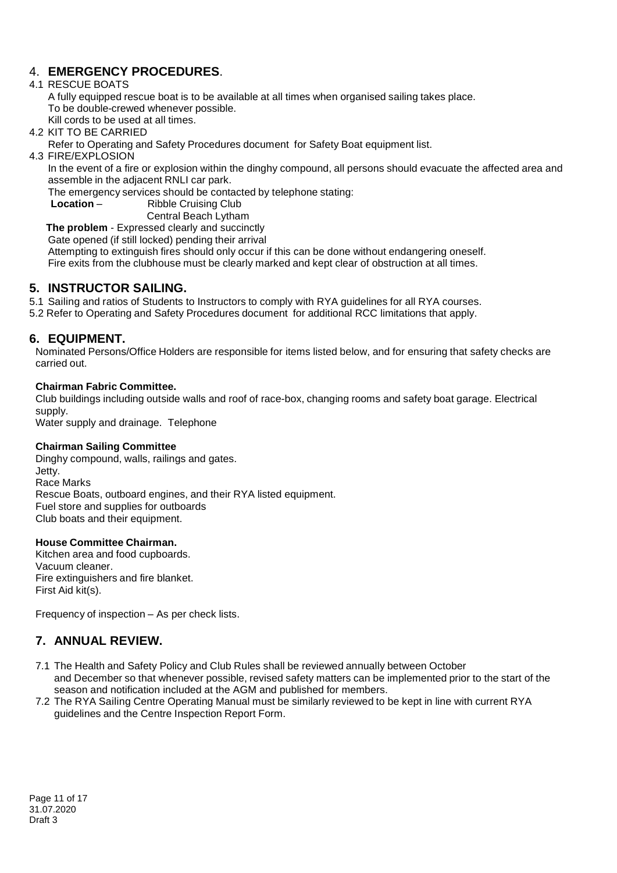## 4. **EMERGENCY PROCEDURES**.

### 4.1 RESCUE BOATS

A fully equipped rescue boat is to be available at all times when organised sailing takes place. To be double-crewed whenever possible.

Kill cords to be used at all times.

4.2 KIT TO BE CARRIED

Refer to Operating and Safety Procedures document for Safety Boat equipment list.

4.3 FIRE/EXPLOSION

In the event of a fire or explosion within the dinghy compound, all persons should evacuate the affected area and assemble in the adjacent RNLI car park.

The emergency services should be contacted by telephone stating:

**Location** – **Ribble Cruising Club** 

Central Beach Lytham

**The problem** - Expressed clearly and succinctly

Gate opened (if still locked) pending their arrival

Attempting to extinguish fires should only occur if this can be done without endangering oneself.

Fire exits from the clubhouse must be clearly marked and kept clear of obstruction at all times.

### **5. INSTRUCTOR SAILING.**

5.1 Sailing and ratios of Students to Instructors to comply with RYA guidelines for all RYA courses.

5.2 Refer to Operating and Safety Procedures document for additional RCC limitations that apply.

### **6. EQUIPMENT.**

Nominated Persons/Office Holders are responsible for items listed below, and for ensuring that safety checks are carried out.

### **Chairman Fabric Committee.**

Club buildings including outside walls and roof of race-box, changing rooms and safety boat garage. Electrical supply.

Water supply and drainage. Telephone

### **Chairman Sailing Committee**

Dinghy compound, walls, railings and gates. Jetty. Race Marks Rescue Boats, outboard engines, and their RYA listed equipment. Fuel store and supplies for outboards Club boats and their equipment.

### **House Committee Chairman.**

Kitchen area and food cupboards. Vacuum cleaner. Fire extinguishers and fire blanket. First Aid kit(s).

Frequency of inspection – As per check lists.

## **7. ANNUAL REVIEW.**

- 7.1 The Health and Safety Policy and Club Rules shall be reviewed annually between October and December so that whenever possible, revised safety matters can be implemented prior to the start of the season and notification included at the AGM and published for members.
- 7.2 The RYA Sailing Centre Operating Manual must be similarly reviewed to be kept in line with current RYA guidelines and the Centre Inspection Report Form.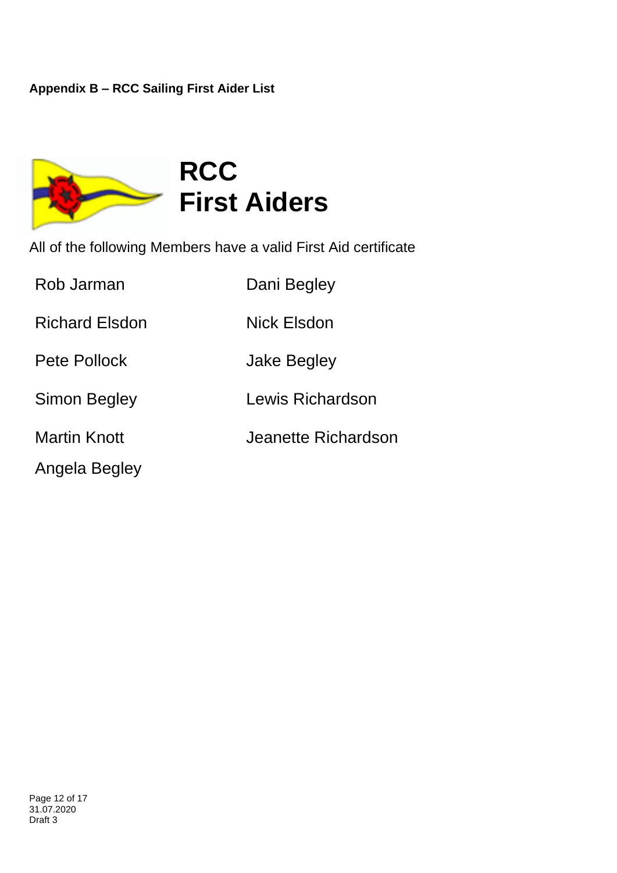

All of the following Members have a valid First Aid certificate

| Rob Jarman            | Dani Begley         |
|-----------------------|---------------------|
| <b>Richard Elsdon</b> | Nick Elsdon         |
| Pete Pollock          | Jake Begley         |
| <b>Simon Begley</b>   | Lewis Richardson    |
| <b>Martin Knott</b>   | Jeanette Richardson |
| Angela Begley         |                     |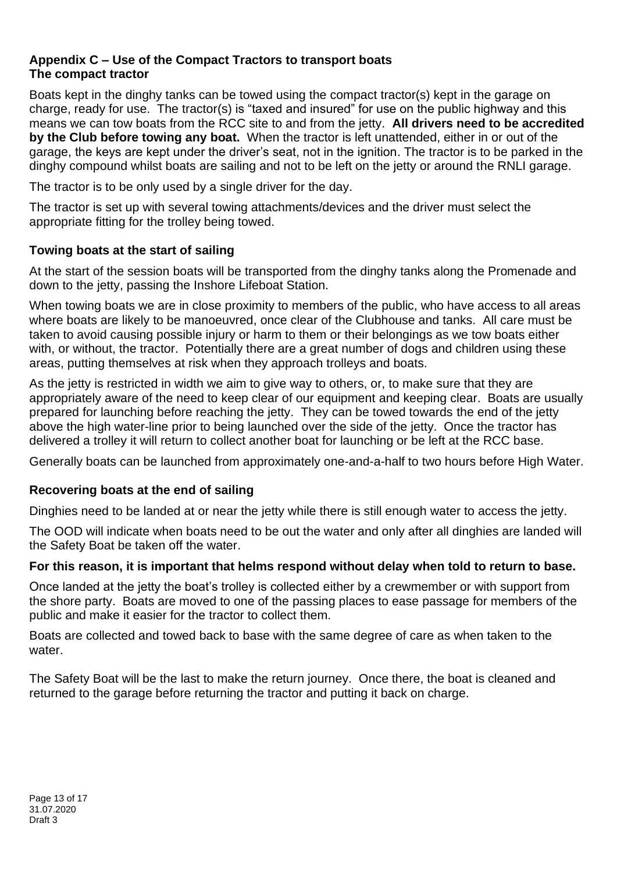### **Appendix C – Use of the Compact Tractors to transport boats The compact tractor**

Boats kept in the dinghy tanks can be towed using the compact tractor(s) kept in the garage on charge, ready for use. The tractor(s) is "taxed and insured" for use on the public highway and this means we can tow boats from the RCC site to and from the jetty. **All drivers need to be accredited by the Club before towing any boat.** When the tractor is left unattended, either in or out of the garage, the keys are kept under the driver's seat, not in the ignition. The tractor is to be parked in the dinghy compound whilst boats are sailing and not to be left on the jetty or around the RNLI garage.

The tractor is to be only used by a single driver for the day.

The tractor is set up with several towing attachments/devices and the driver must select the appropriate fitting for the trolley being towed.

# **Towing boats at the start of sailing**

At the start of the session boats will be transported from the dinghy tanks along the Promenade and down to the jetty, passing the Inshore Lifeboat Station.

When towing boats we are in close proximity to members of the public, who have access to all areas where boats are likely to be manoeuvred, once clear of the Clubhouse and tanks. All care must be taken to avoid causing possible injury or harm to them or their belongings as we tow boats either with, or without, the tractor. Potentially there are a great number of dogs and children using these areas, putting themselves at risk when they approach trolleys and boats.

As the jetty is restricted in width we aim to give way to others, or, to make sure that they are appropriately aware of the need to keep clear of our equipment and keeping clear. Boats are usually prepared for launching before reaching the jetty. They can be towed towards the end of the jetty above the high water-line prior to being launched over the side of the jetty. Once the tractor has delivered a trolley it will return to collect another boat for launching or be left at the RCC base.

Generally boats can be launched from approximately one-and-a-half to two hours before High Water.

# **Recovering boats at the end of sailing**

Dinghies need to be landed at or near the jetty while there is still enough water to access the jetty.

The OOD will indicate when boats need to be out the water and only after all dinghies are landed will the Safety Boat be taken off the water.

## **For this reason, it is important that helms respond without delay when told to return to base.**

Once landed at the jetty the boat's trolley is collected either by a crewmember or with support from the shore party. Boats are moved to one of the passing places to ease passage for members of the public and make it easier for the tractor to collect them.

Boats are collected and towed back to base with the same degree of care as when taken to the water.

The Safety Boat will be the last to make the return journey. Once there, the boat is cleaned and returned to the garage before returning the tractor and putting it back on charge.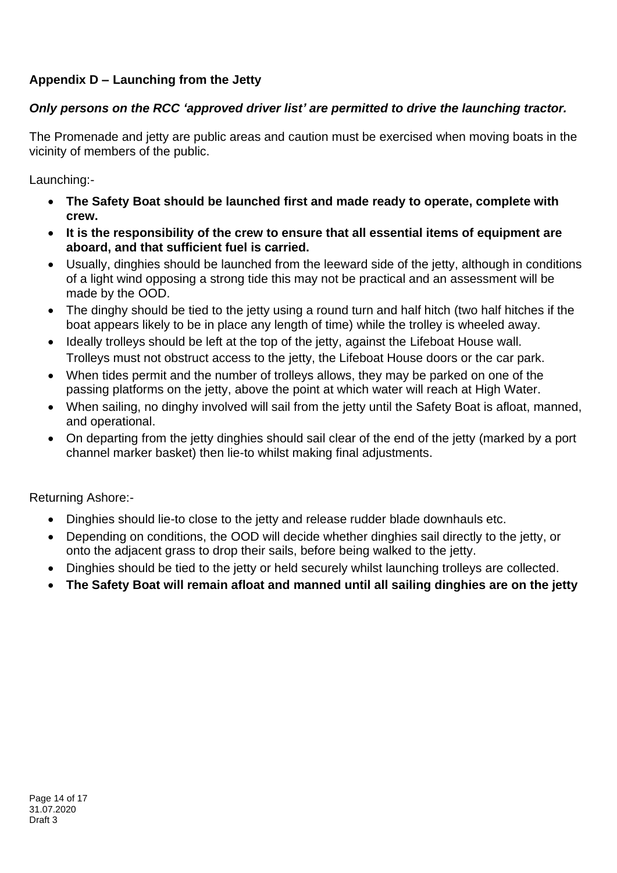# **Appendix D – Launching from the Jetty**

# *Only persons on the RCC 'approved driver list' are permitted to drive the launching tractor.*

The Promenade and jetty are public areas and caution must be exercised when moving boats in the vicinity of members of the public.

Launching:-

- **The Safety Boat should be launched first and made ready to operate, complete with crew.**
- **It is the responsibility of the crew to ensure that all essential items of equipment are aboard, and that sufficient fuel is carried.**
- Usually, dinghies should be launched from the leeward side of the jetty, although in conditions of a light wind opposing a strong tide this may not be practical and an assessment will be made by the OOD.
- The dinghy should be tied to the jetty using a round turn and half hitch (two half hitches if the boat appears likely to be in place any length of time) while the trolley is wheeled away.
- Ideally trolleys should be left at the top of the jetty, against the Lifeboat House wall. Trolleys must not obstruct access to the jetty, the Lifeboat House doors or the car park.
- When tides permit and the number of trolleys allows, they may be parked on one of the passing platforms on the jetty, above the point at which water will reach at High Water.
- When sailing, no dinghy involved will sail from the jetty until the Safety Boat is afloat, manned, and operational.
- On departing from the jetty dinghies should sail clear of the end of the jetty (marked by a port channel marker basket) then lie-to whilst making final adjustments.

Returning Ashore:-

- Dinghies should lie-to close to the jetty and release rudder blade downhauls etc.
- Depending on conditions, the OOD will decide whether dinghies sail directly to the jetty, or onto the adjacent grass to drop their sails, before being walked to the jetty.
- Dinghies should be tied to the jetty or held securely whilst launching trolleys are collected.
- **The Safety Boat will remain afloat and manned until all sailing dinghies are on the jetty**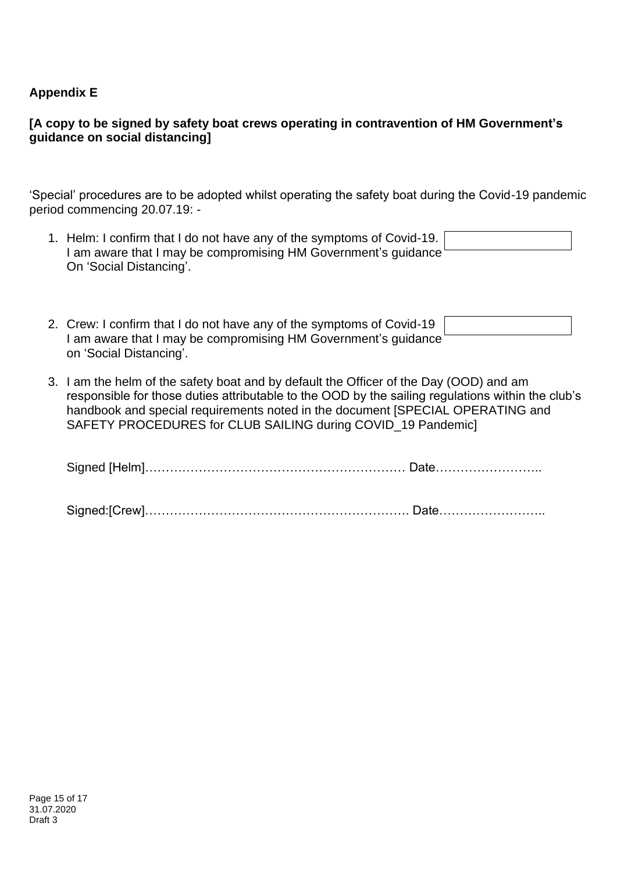## **Appendix E**

## **[A copy to be signed by safety boat crews operating in contravention of HM Government's guidance on social distancing]**

'Special' procedures are to be adopted whilst operating the safety boat during the Covid-19 pandemic period commencing 20.07.19: -

| 1. Helm: I confirm that I do not have any of the symptoms of Covid-19. |  |
|------------------------------------------------------------------------|--|
| ' am aware that I may be compromising HM Government's guidance '       |  |
| On 'Social Distancing'.                                                |  |

| 2. Crew: I confirm that I do not have any of the symptoms of Covid-19 |  |
|-----------------------------------------------------------------------|--|
| I am aware that I may be compromising HM Government's quidance        |  |
| on 'Social Distancing'.                                               |  |

3. I am the helm of the safety boat and by default the Officer of the Day (OOD) and am responsible for those duties attributable to the OOD by the sailing regulations within the club's handbook and special requirements noted in the document [SPECIAL OPERATING and SAFETY PROCEDURES for CLUB SAILING during COVID\_19 Pandemic]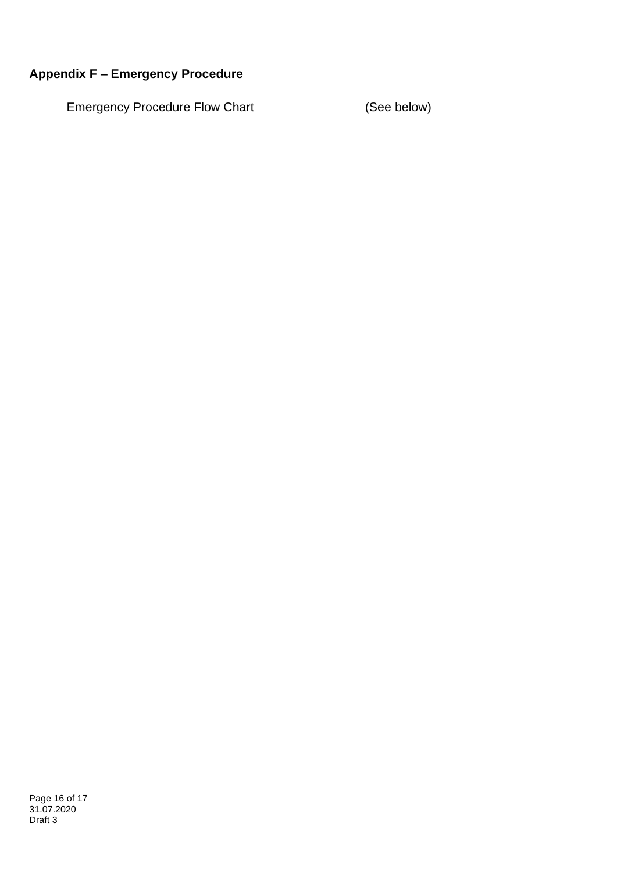# **Appendix F – Emergency Procedure**

Emergency Procedure Flow Chart (See below)

Page 16 of 17 31.07.2020 Draft 3